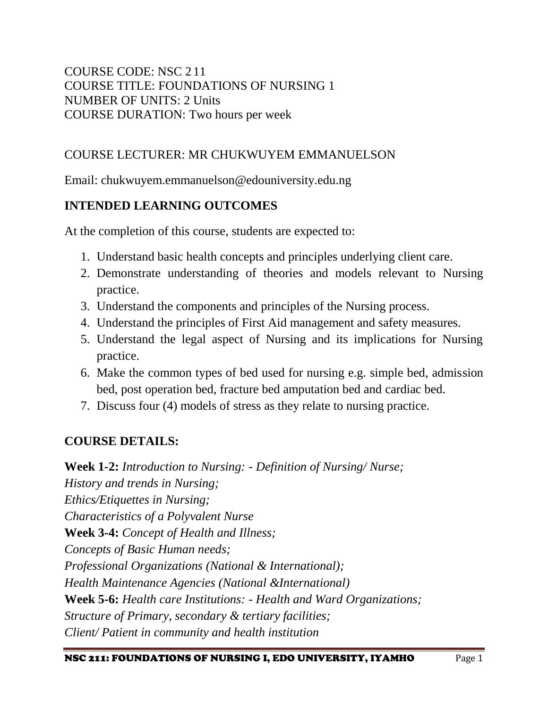COURSE CODE: NSC 2 11 COURSE TITLE: FOUNDATIONS OF NURSING 1 NUMBER OF UNITS: 2 Units COURSE DURATION: Two hours per week

## COURSE LECTURER: MR CHUKWUYEM EMMANUELSON

Email: chukwuyem.emmanuelson@edouniversity.edu.ng

# **INTENDED LEARNING OUTCOMES**

At the completion of this course, students are expected to:

- 1. Understand basic health concepts and principles underlying client care.
- 2. Demonstrate understanding of theories and models relevant to Nursing practice.
- 3. Understand the components and principles of the Nursing process.
- 4. Understand the principles of First Aid management and safety measures.
- 5. Understand the legal aspect of Nursing and its implications for Nursing practice.
- 6. Make the common types of bed used for nursing e.g. simple bed, admission bed, post operation bed, fracture bed amputation bed and cardiac bed.
- 7. Discuss four (4) models of stress as they relate to nursing practice.

# **COURSE DETAILS:**

**Week 1-2:** *Introduction to Nursing: - Definition of Nursing/ Nurse; History and trends in Nursing; Ethics/Etiquettes in Nursing; Characteristics of a Polyvalent Nurse* **Week 3-4:** *Concept of Health and Illness; Concepts of Basic Human needs; Professional Organizations (National & International); Health Maintenance Agencies (National &International)* **Week 5-6:** *Health care Institutions: - Health and Ward Organizations; Structure of Primary, secondary & tertiary facilities; Client/ Patient in community and health institution*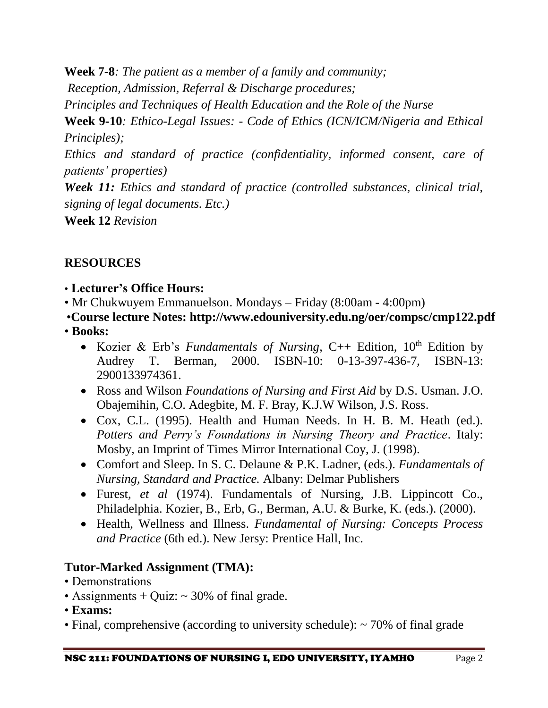**Week 7-8***: The patient as a member of a family and community;*

*Reception, Admission, Referral & Discharge procedures;* 

*Principles and Techniques of Health Education and the Role of the Nurse*

**Week 9-10***: Ethico-Legal Issues: - Code of Ethics (ICN/ICM/Nigeria and Ethical Principles);* 

*Ethics and standard of practice (confidentiality, informed consent, care of patients' properties)*

*Week 11: Ethics and standard of practice (controlled substances, clinical trial, signing of legal documents. Etc.)*

**Week 12** *Revision*

# **RESOURCES**

- **Lecturer's Office Hours:**
- Mr Chukwuyem Emmanuelson. Mondays Friday (8:00am 4:00pm)
- •**Course lecture Notes: http://www.edouniversity.edu.ng/oer/compsc/cmp122.pdf** • **Books:**
	- Kozier & Erb's *Fundamentals of Nursing*, C++ Edition, 10th Edition by Audrey T. Berman, 2000. ISBN-10: 0-13-397-436-7, ISBN-13: 2900133974361.
	- Ross and Wilson *Foundations of Nursing and First Aid* by D.S. Usman. J.O. Obajemihin, C.O. Adegbite, M. F. Bray, K.J.W Wilson, J.S. Ross.
	- Cox, C.L. (1995). Health and Human Needs. In H. B. M. Heath (ed.). *Potters and Perry's Foundations in Nursing Theory and Practice*. Italy: Mosby, an Imprint of Times Mirror International Coy, J. (1998).
	- Comfort and Sleep. In S. C. Delaune & P.K. Ladner, (eds.). *Fundamentals of Nursing, Standard and Practice.* Albany: Delmar Publishers
	- Furest, *et al* (1974). Fundamentals of Nursing, J.B. Lippincott Co., Philadelphia. Kozier, B., Erb, G., Berman, A.U. & Burke, K. (eds.). (2000).
	- Health, Wellness and Illness. *Fundamental of Nursing: Concepts Process and Practice* (6th ed.). New Jersy: Prentice Hall, Inc.

# **Tutor-Marked Assignment (TMA):**

- Demonstrations
- Assignments  $+$  Quiz:  $\sim$  30% of final grade.
- **Exams:**
- Final, comprehensive (according to university schedule): ~70% of final grade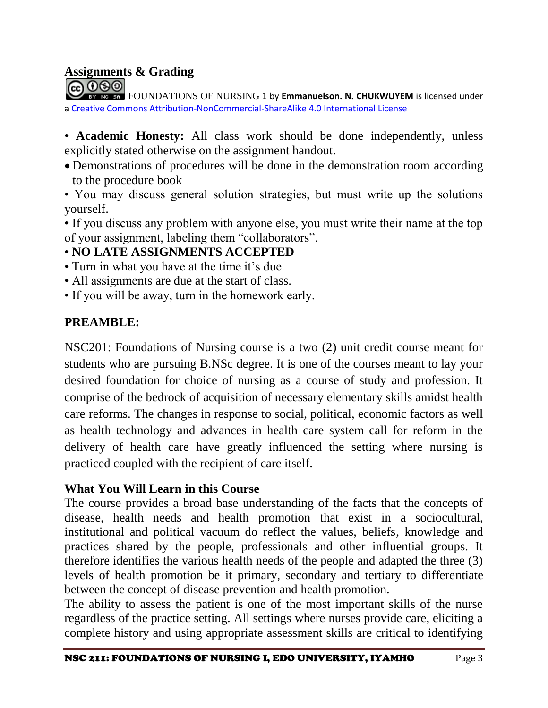#### **Assignments & Grading**

FOUNDATIONS OF NURSING 1 by **Emmanuelson. N. CHUKWUYEM** is licensed under a [Creative Commons Attribution-NonCommercial-ShareAlike](http://creativecommons.org/licenses/by-nc-sa/4.0/) [4.0 International License](http://creativecommons.org/licenses/by-nc-sa/4.0/)

• **Academic Honesty:** All class work should be done independently, unless explicitly stated otherwise on the assignment handout.

- Demonstrations of procedures will be done in the demonstration room according to the procedure book
- You may discuss general solution strategies, but must write up the solutions yourself.
- If you discuss any problem with anyone else, you must write their name at the top of your assignment, labeling them "collaborators".

# • **NO LATE ASSIGNMENTS ACCEPTED**

- Turn in what you have at the time it's due.
- All assignments are due at the start of class.
- If you will be away, turn in the homework early.

## **PREAMBLE:**

NSC201: Foundations of Nursing course is a two (2) unit credit course meant for students who are pursuing B.NSc degree. It is one of the courses meant to lay your desired foundation for choice of nursing as a course of study and profession. It comprise of the bedrock of acquisition of necessary elementary skills amidst health care reforms. The changes in response to social, political, economic factors as well as health technology and advances in health care system call for reform in the delivery of health care have greatly influenced the setting where nursing is practiced coupled with the recipient of care itself.

### **What You Will Learn in this Course**

The course provides a broad base understanding of the facts that the concepts of disease, health needs and health promotion that exist in a sociocultural, institutional and political vacuum do reflect the values, beliefs, knowledge and practices shared by the people, professionals and other influential groups. It therefore identifies the various health needs of the people and adapted the three (3) levels of health promotion be it primary, secondary and tertiary to differentiate between the concept of disease prevention and health promotion.

The ability to assess the patient is one of the most important skills of the nurse regardless of the practice setting. All settings where nurses provide care, eliciting a complete history and using appropriate assessment skills are critical to identifying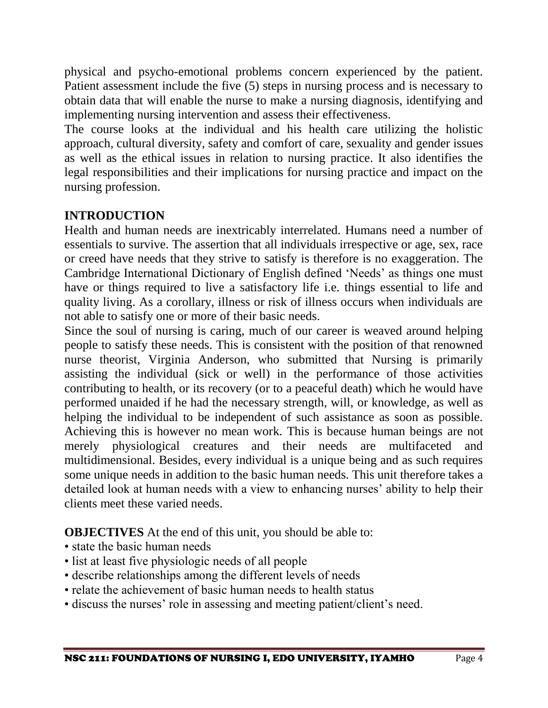physical and psycho-emotional problems concern experienced by the patient. Patient assessment include the five (5) steps in nursing process and is necessary to obtain data that will enable the nurse to make a nursing diagnosis, identifying and implementing nursing intervention and assess their effectiveness.

The course looks at the individual and his health care utilizing the holistic approach, cultural diversity, safety and comfort of care, sexuality and gender issues as well as the ethical issues in relation to nursing practice. It also identifies the legal responsibilities and their implications for nursing practice and impact on the nursing profession.

# **INTRODUCTION**

Health and human needs are inextricably interrelated. Humans need a number of essentials to survive. The assertion that all individuals irrespective or age, sex, race or creed have needs that they strive to satisfy is therefore is no exaggeration. The Cambridge International Dictionary of English defined 'Needs' as things one must have or things required to live a satisfactory life i.e. things essential to life and quality living. As a corollary, illness or risk of illness occurs when individuals are not able to satisfy one or more of their basic needs.

Since the soul of nursing is caring, much of our career is weaved around helping people to satisfy these needs. This is consistent with the position of that renowned nurse theorist, Virginia Anderson, who submitted that Nursing is primarily assisting the individual (sick or well) in the performance of those activities contributing to health, or its recovery (or to a peaceful death) which he would have performed unaided if he had the necessary strength, will, or knowledge, as well as helping the individual to be independent of such assistance as soon as possible. Achieving this is however no mean work. This is because human beings are not merely physiological creatures and their needs are multifaceted and multidimensional. Besides, every individual is a unique being and as such requires some unique needs in addition to the basic human needs. This unit therefore takes a detailed look at human needs with a view to enhancing nurses' ability to help their clients meet these varied needs.

**OBJECTIVES** At the end of this unit, you should be able to:

- state the basic human needs
- list at least five physiologic needs of all people
- describe relationships among the different levels of needs
- relate the achievement of basic human needs to health status
- discuss the nurses' role in assessing and meeting patient/client's need.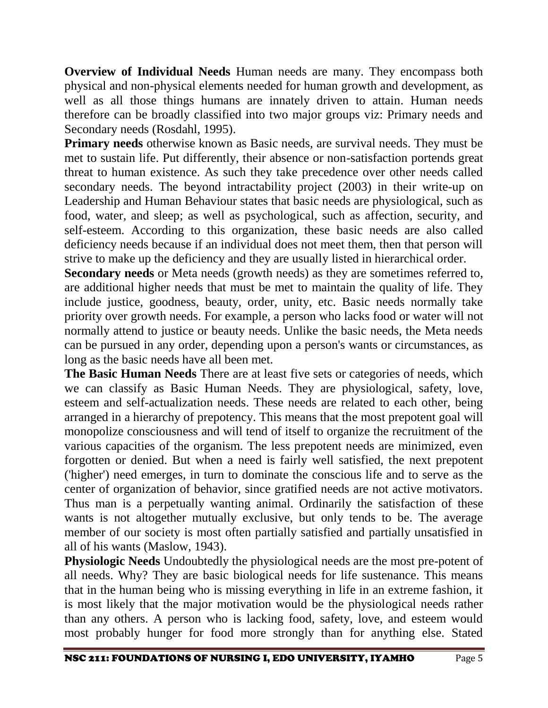**Overview of Individual Needs** Human needs are many. They encompass both physical and non-physical elements needed for human growth and development, as well as all those things humans are innately driven to attain. Human needs therefore can be broadly classified into two major groups viz: Primary needs and Secondary needs (Rosdahl, 1995).

**Primary needs** otherwise known as Basic needs, are survival needs. They must be met to sustain life. Put differently, their absence or non-satisfaction portends great threat to human existence. As such they take precedence over other needs called secondary needs. The beyond intractability project (2003) in their write-up on Leadership and Human Behaviour states that basic needs are physiological, such as food, water, and sleep; as well as psychological, such as affection, security, and self-esteem. According to this organization, these basic needs are also called deficiency needs because if an individual does not meet them, then that person will strive to make up the deficiency and they are usually listed in hierarchical order.

**Secondary needs** or Meta needs (growth needs) as they are sometimes referred to, are additional higher needs that must be met to maintain the quality of life. They include justice, goodness, beauty, order, unity, etc. Basic needs normally take priority over growth needs. For example, a person who lacks food or water will not normally attend to justice or beauty needs. Unlike the basic needs, the Meta needs can be pursued in any order, depending upon a person's wants or circumstances, as long as the basic needs have all been met.

**The Basic Human Needs** There are at least five sets or categories of needs, which we can classify as Basic Human Needs. They are physiological, safety, love, esteem and self-actualization needs. These needs are related to each other, being arranged in a hierarchy of prepotency. This means that the most prepotent goal will monopolize consciousness and will tend of itself to organize the recruitment of the various capacities of the organism. The less prepotent needs are minimized, even forgotten or denied. But when a need is fairly well satisfied, the next prepotent ('higher') need emerges, in turn to dominate the conscious life and to serve as the center of organization of behavior, since gratified needs are not active motivators. Thus man is a perpetually wanting animal. Ordinarily the satisfaction of these wants is not altogether mutually exclusive, but only tends to be. The average member of our society is most often partially satisfied and partially unsatisfied in all of his wants (Maslow, 1943).

**Physiologic Needs** Undoubtedly the physiological needs are the most pre-potent of all needs. Why? They are basic biological needs for life sustenance. This means that in the human being who is missing everything in life in an extreme fashion, it is most likely that the major motivation would be the physiological needs rather than any others. A person who is lacking food, safety, love, and esteem would most probably hunger for food more strongly than for anything else. Stated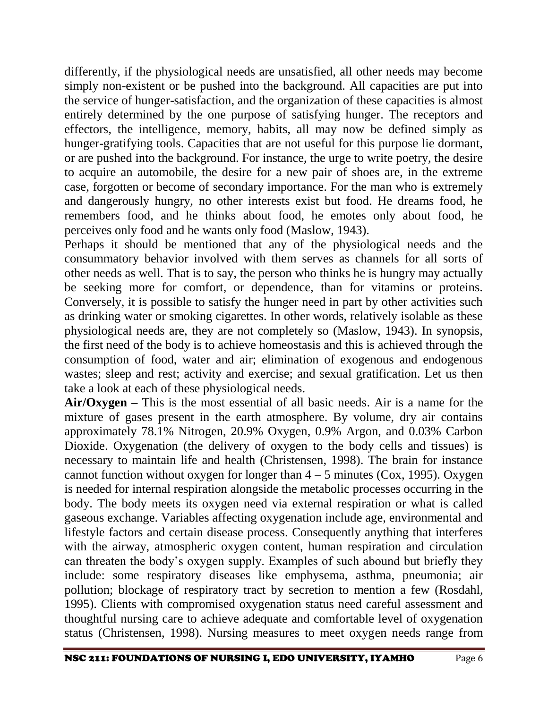differently, if the physiological needs are unsatisfied, all other needs may become simply non-existent or be pushed into the background. All capacities are put into the service of hunger-satisfaction, and the organization of these capacities is almost entirely determined by the one purpose of satisfying hunger. The receptors and effectors, the intelligence, memory, habits, all may now be defined simply as hunger-gratifying tools. Capacities that are not useful for this purpose lie dormant, or are pushed into the background. For instance, the urge to write poetry, the desire to acquire an automobile, the desire for a new pair of shoes are, in the extreme case, forgotten or become of secondary importance. For the man who is extremely and dangerously hungry, no other interests exist but food. He dreams food, he remembers food, and he thinks about food, he emotes only about food, he perceives only food and he wants only food (Maslow, 1943).

Perhaps it should be mentioned that any of the physiological needs and the consummatory behavior involved with them serves as channels for all sorts of other needs as well. That is to say, the person who thinks he is hungry may actually be seeking more for comfort, or dependence, than for vitamins or proteins. Conversely, it is possible to satisfy the hunger need in part by other activities such as drinking water or smoking cigarettes. In other words, relatively isolable as these physiological needs are, they are not completely so (Maslow, 1943). In synopsis, the first need of the body is to achieve homeostasis and this is achieved through the consumption of food, water and air; elimination of exogenous and endogenous wastes; sleep and rest; activity and exercise; and sexual gratification. Let us then take a look at each of these physiological needs.

**Air/Oxygen –** This is the most essential of all basic needs. Air is a name for the mixture of gases present in the earth atmosphere. By volume, dry air contains approximately 78.1% Nitrogen, 20.9% Oxygen, 0.9% Argon, and 0.03% Carbon Dioxide. Oxygenation (the delivery of oxygen to the body cells and tissues) is necessary to maintain life and health (Christensen, 1998). The brain for instance cannot function without oxygen for longer than  $4 - 5$  minutes (Cox, 1995). Oxygen is needed for internal respiration alongside the metabolic processes occurring in the body. The body meets its oxygen need via external respiration or what is called gaseous exchange. Variables affecting oxygenation include age, environmental and lifestyle factors and certain disease process. Consequently anything that interferes with the airway, atmospheric oxygen content, human respiration and circulation can threaten the body's oxygen supply. Examples of such abound but briefly they include: some respiratory diseases like emphysema, asthma, pneumonia; air pollution; blockage of respiratory tract by secretion to mention a few (Rosdahl, 1995). Clients with compromised oxygenation status need careful assessment and thoughtful nursing care to achieve adequate and comfortable level of oxygenation status (Christensen, 1998). Nursing measures to meet oxygen needs range from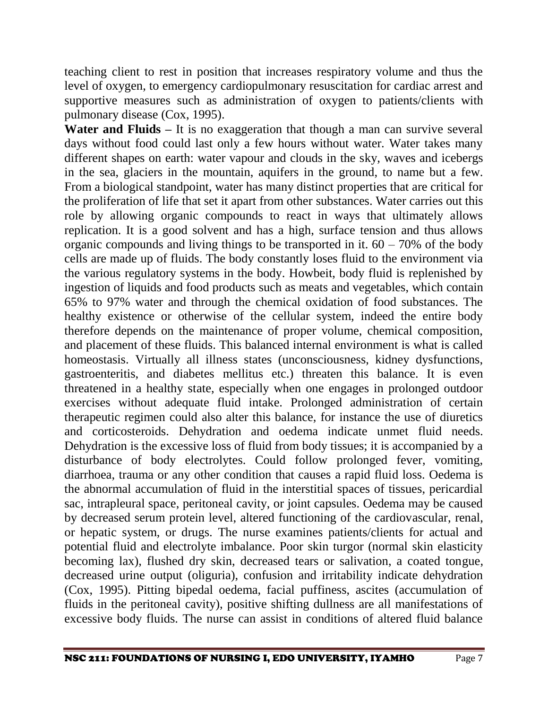teaching client to rest in position that increases respiratory volume and thus the level of oxygen, to emergency cardiopulmonary resuscitation for cardiac arrest and supportive measures such as administration of oxygen to patients/clients with pulmonary disease (Cox, 1995).

**Water and Fluids –** It is no exaggeration that though a man can survive several days without food could last only a few hours without water. Water takes many different shapes on earth: water vapour and clouds in the sky, waves and icebergs in the sea, glaciers in the mountain, aquifers in the ground, to name but a few. From a biological standpoint, water has many distinct properties that are critical for the proliferation of life that set it apart from other substances. Water carries out this role by allowing organic compounds to react in ways that ultimately allows replication. It is a good solvent and has a high, surface tension and thus allows organic compounds and living things to be transported in it.  $60 - 70\%$  of the body cells are made up of fluids. The body constantly loses fluid to the environment via the various regulatory systems in the body. Howbeit, body fluid is replenished by ingestion of liquids and food products such as meats and vegetables, which contain 65% to 97% water and through the chemical oxidation of food substances. The healthy existence or otherwise of the cellular system, indeed the entire body therefore depends on the maintenance of proper volume, chemical composition, and placement of these fluids. This balanced internal environment is what is called homeostasis. Virtually all illness states (unconsciousness, kidney dysfunctions, gastroenteritis, and diabetes mellitus etc.) threaten this balance. It is even threatened in a healthy state, especially when one engages in prolonged outdoor exercises without adequate fluid intake. Prolonged administration of certain therapeutic regimen could also alter this balance, for instance the use of diuretics and corticosteroids. Dehydration and oedema indicate unmet fluid needs. Dehydration is the excessive loss of fluid from body tissues; it is accompanied by a disturbance of body electrolytes. Could follow prolonged fever, vomiting, diarrhoea, trauma or any other condition that causes a rapid fluid loss. Oedema is the abnormal accumulation of fluid in the interstitial spaces of tissues, pericardial sac, intrapleural space, peritoneal cavity, or joint capsules. Oedema may be caused by decreased serum protein level, altered functioning of the cardiovascular, renal, or hepatic system, or drugs. The nurse examines patients/clients for actual and potential fluid and electrolyte imbalance. Poor skin turgor (normal skin elasticity becoming lax), flushed dry skin, decreased tears or salivation, a coated tongue, decreased urine output (oliguria), confusion and irritability indicate dehydration (Cox, 1995). Pitting bipedal oedema, facial puffiness, ascites (accumulation of fluids in the peritoneal cavity), positive shifting dullness are all manifestations of excessive body fluids. The nurse can assist in conditions of altered fluid balance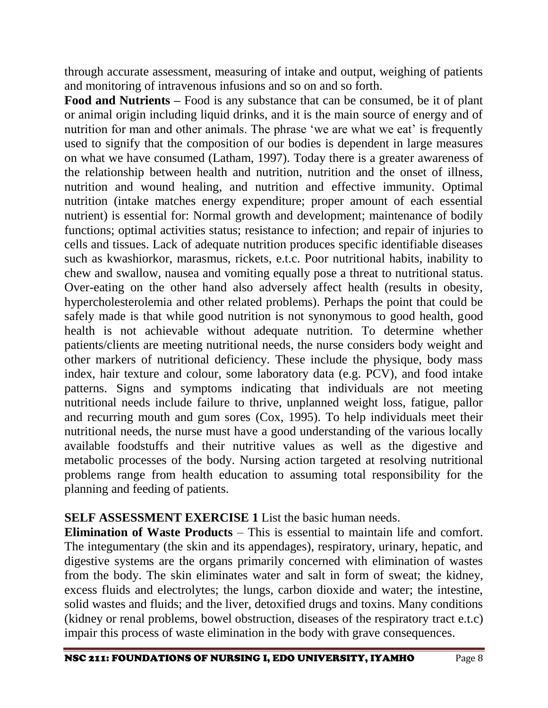through accurate assessment, measuring of intake and output, weighing of patients and monitoring of intravenous infusions and so on and so forth.

**Food and Nutrients –** Food is any substance that can be consumed, be it of plant or animal origin including liquid drinks, and it is the main source of energy and of nutrition for man and other animals. The phrase 'we are what we eat' is frequently used to signify that the composition of our bodies is dependent in large measures on what we have consumed (Latham, 1997). Today there is a greater awareness of the relationship between health and nutrition, nutrition and the onset of illness, nutrition and wound healing, and nutrition and effective immunity. Optimal nutrition (intake matches energy expenditure; proper amount of each essential nutrient) is essential for: Normal growth and development; maintenance of bodily functions; optimal activities status; resistance to infection; and repair of injuries to cells and tissues. Lack of adequate nutrition produces specific identifiable diseases such as kwashiorkor, marasmus, rickets, e.t.c. Poor nutritional habits, inability to chew and swallow, nausea and vomiting equally pose a threat to nutritional status. Over-eating on the other hand also adversely affect health (results in obesity, hypercholesterolemia and other related problems). Perhaps the point that could be safely made is that while good nutrition is not synonymous to good health, good health is not achievable without adequate nutrition. To determine whether patients/clients are meeting nutritional needs, the nurse considers body weight and other markers of nutritional deficiency. These include the physique, body mass index, hair texture and colour, some laboratory data (e.g. PCV), and food intake patterns. Signs and symptoms indicating that individuals are not meeting nutritional needs include failure to thrive, unplanned weight loss, fatigue, pallor and recurring mouth and gum sores (Cox, 1995). To help individuals meet their nutritional needs, the nurse must have a good understanding of the various locally available foodstuffs and their nutritive values as well as the digestive and metabolic processes of the body. Nursing action targeted at resolving nutritional problems range from health education to assuming total responsibility for the planning and feeding of patients.

### **SELF ASSESSMENT EXERCISE 1** List the basic human needs.

**Elimination of Waste Products – This is essential to maintain life and comfort.** The integumentary (the skin and its appendages), respiratory, urinary, hepatic, and digestive systems are the organs primarily concerned with elimination of wastes from the body. The skin eliminates water and salt in form of sweat; the kidney, excess fluids and electrolytes; the lungs, carbon dioxide and water; the intestine, solid wastes and fluids; and the liver, detoxified drugs and toxins. Many conditions (kidney or renal problems, bowel obstruction, diseases of the respiratory tract e.t.c) impair this process of waste elimination in the body with grave consequences.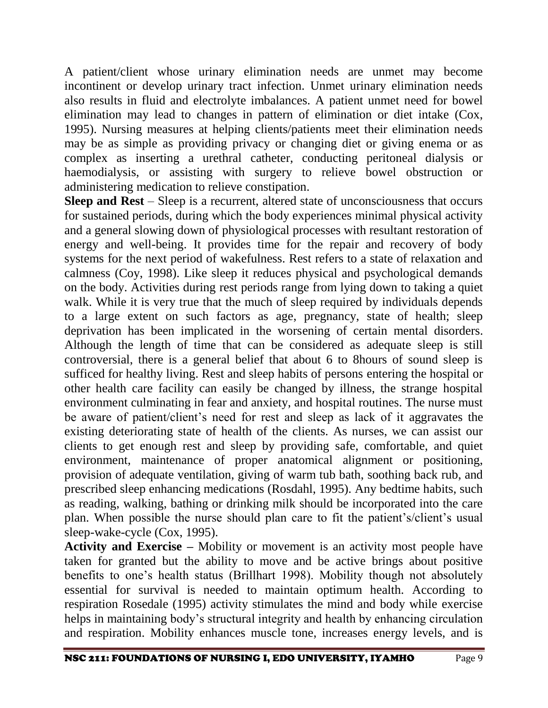A patient/client whose urinary elimination needs are unmet may become incontinent or develop urinary tract infection. Unmet urinary elimination needs also results in fluid and electrolyte imbalances. A patient unmet need for bowel elimination may lead to changes in pattern of elimination or diet intake (Cox, 1995). Nursing measures at helping clients/patients meet their elimination needs may be as simple as providing privacy or changing diet or giving enema or as complex as inserting a urethral catheter, conducting peritoneal dialysis or haemodialysis, or assisting with surgery to relieve bowel obstruction or administering medication to relieve constipation.

**Sleep and Rest** – Sleep is a recurrent, altered state of unconsciousness that occurs for sustained periods, during which the body experiences minimal physical activity and a general slowing down of physiological processes with resultant restoration of energy and well-being. It provides time for the repair and recovery of body systems for the next period of wakefulness. Rest refers to a state of relaxation and calmness (Coy, 1998). Like sleep it reduces physical and psychological demands on the body. Activities during rest periods range from lying down to taking a quiet walk. While it is very true that the much of sleep required by individuals depends to a large extent on such factors as age, pregnancy, state of health; sleep deprivation has been implicated in the worsening of certain mental disorders. Although the length of time that can be considered as adequate sleep is still controversial, there is a general belief that about 6 to 8hours of sound sleep is sufficed for healthy living. Rest and sleep habits of persons entering the hospital or other health care facility can easily be changed by illness, the strange hospital environment culminating in fear and anxiety, and hospital routines. The nurse must be aware of patient/client's need for rest and sleep as lack of it aggravates the existing deteriorating state of health of the clients. As nurses, we can assist our clients to get enough rest and sleep by providing safe, comfortable, and quiet environment, maintenance of proper anatomical alignment or positioning, provision of adequate ventilation, giving of warm tub bath, soothing back rub, and prescribed sleep enhancing medications (Rosdahl, 1995). Any bedtime habits, such as reading, walking, bathing or drinking milk should be incorporated into the care plan. When possible the nurse should plan care to fit the patient's/client's usual sleep-wake-cycle (Cox, 1995).

**Activity and Exercise –** Mobility or movement is an activity most people have taken for granted but the ability to move and be active brings about positive benefits to one's health status (Brillhart 1998). Mobility though not absolutely essential for survival is needed to maintain optimum health. According to respiration Rosedale (1995) activity stimulates the mind and body while exercise helps in maintaining body's structural integrity and health by enhancing circulation and respiration. Mobility enhances muscle tone, increases energy levels, and is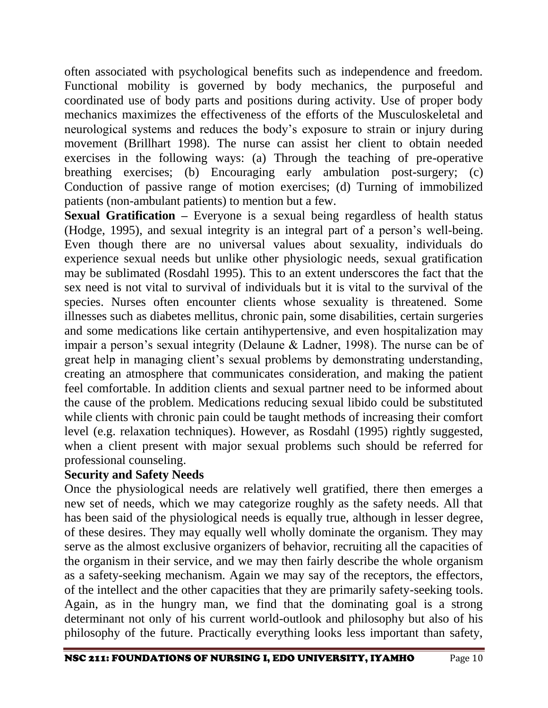often associated with psychological benefits such as independence and freedom. Functional mobility is governed by body mechanics, the purposeful and coordinated use of body parts and positions during activity. Use of proper body mechanics maximizes the effectiveness of the efforts of the Musculoskeletal and neurological systems and reduces the body's exposure to strain or injury during movement (Brillhart 1998). The nurse can assist her client to obtain needed exercises in the following ways: (a) Through the teaching of pre-operative breathing exercises; (b) Encouraging early ambulation post-surgery; (c) Conduction of passive range of motion exercises; (d) Turning of immobilized patients (non-ambulant patients) to mention but a few.

**Sexual Gratification –** Everyone is a sexual being regardless of health status (Hodge, 1995), and sexual integrity is an integral part of a person's well-being. Even though there are no universal values about sexuality, individuals do experience sexual needs but unlike other physiologic needs, sexual gratification may be sublimated (Rosdahl 1995). This to an extent underscores the fact that the sex need is not vital to survival of individuals but it is vital to the survival of the species. Nurses often encounter clients whose sexuality is threatened. Some illnesses such as diabetes mellitus, chronic pain, some disabilities, certain surgeries and some medications like certain antihypertensive, and even hospitalization may impair a person's sexual integrity (Delaune & Ladner, 1998). The nurse can be of great help in managing client's sexual problems by demonstrating understanding, creating an atmosphere that communicates consideration, and making the patient feel comfortable. In addition clients and sexual partner need to be informed about the cause of the problem. Medications reducing sexual libido could be substituted while clients with chronic pain could be taught methods of increasing their comfort level (e.g. relaxation techniques). However, as Rosdahl (1995) rightly suggested, when a client present with major sexual problems such should be referred for professional counseling.

### **Security and Safety Needs**

Once the physiological needs are relatively well gratified, there then emerges a new set of needs, which we may categorize roughly as the safety needs. All that has been said of the physiological needs is equally true, although in lesser degree, of these desires. They may equally well wholly dominate the organism. They may serve as the almost exclusive organizers of behavior, recruiting all the capacities of the organism in their service, and we may then fairly describe the whole organism as a safety-seeking mechanism. Again we may say of the receptors, the effectors, of the intellect and the other capacities that they are primarily safety-seeking tools. Again, as in the hungry man, we find that the dominating goal is a strong determinant not only of his current world-outlook and philosophy but also of his philosophy of the future. Practically everything looks less important than safety,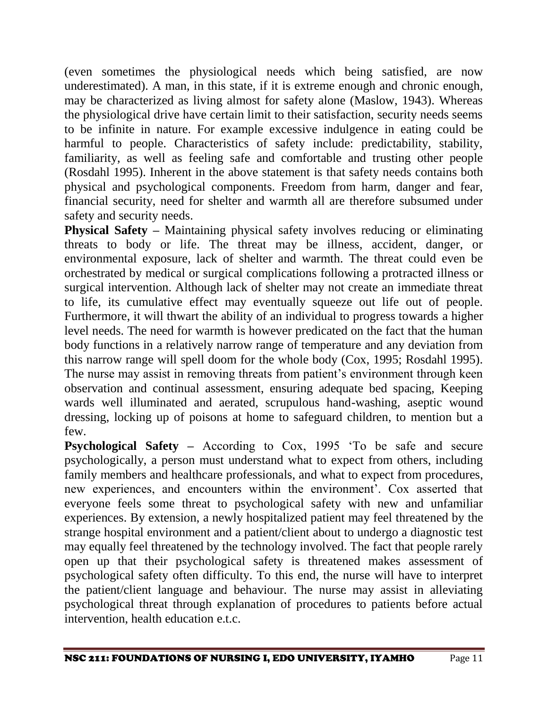(even sometimes the physiological needs which being satisfied, are now underestimated). A man, in this state, if it is extreme enough and chronic enough, may be characterized as living almost for safety alone (Maslow, 1943). Whereas the physiological drive have certain limit to their satisfaction, security needs seems to be infinite in nature. For example excessive indulgence in eating could be harmful to people. Characteristics of safety include: predictability, stability, familiarity, as well as feeling safe and comfortable and trusting other people (Rosdahl 1995). Inherent in the above statement is that safety needs contains both physical and psychological components. Freedom from harm, danger and fear, financial security, need for shelter and warmth all are therefore subsumed under safety and security needs.

**Physical Safety –** Maintaining physical safety involves reducing or eliminating threats to body or life. The threat may be illness, accident, danger, or environmental exposure, lack of shelter and warmth. The threat could even be orchestrated by medical or surgical complications following a protracted illness or surgical intervention. Although lack of shelter may not create an immediate threat to life, its cumulative effect may eventually squeeze out life out of people. Furthermore, it will thwart the ability of an individual to progress towards a higher level needs. The need for warmth is however predicated on the fact that the human body functions in a relatively narrow range of temperature and any deviation from this narrow range will spell doom for the whole body (Cox, 1995; Rosdahl 1995). The nurse may assist in removing threats from patient's environment through keen observation and continual assessment, ensuring adequate bed spacing, Keeping wards well illuminated and aerated, scrupulous hand-washing, aseptic wound dressing, locking up of poisons at home to safeguard children, to mention but a few.

**Psychological Safety –** According to Cox, 1995 'To be safe and secure psychologically, a person must understand what to expect from others, including family members and healthcare professionals, and what to expect from procedures, new experiences, and encounters within the environment'. Cox asserted that everyone feels some threat to psychological safety with new and unfamiliar experiences. By extension, a newly hospitalized patient may feel threatened by the strange hospital environment and a patient/client about to undergo a diagnostic test may equally feel threatened by the technology involved. The fact that people rarely open up that their psychological safety is threatened makes assessment of psychological safety often difficulty. To this end, the nurse will have to interpret the patient/client language and behaviour. The nurse may assist in alleviating psychological threat through explanation of procedures to patients before actual intervention, health education e.t.c.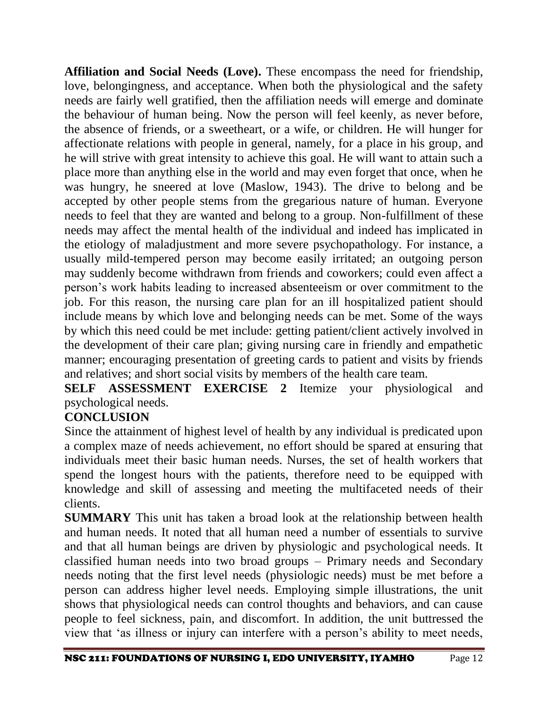**Affiliation and Social Needs (Love).** These encompass the need for friendship, love, belongingness, and acceptance. When both the physiological and the safety needs are fairly well gratified, then the affiliation needs will emerge and dominate the behaviour of human being. Now the person will feel keenly, as never before, the absence of friends, or a sweetheart, or a wife, or children. He will hunger for affectionate relations with people in general, namely, for a place in his group, and he will strive with great intensity to achieve this goal. He will want to attain such a place more than anything else in the world and may even forget that once, when he was hungry, he sneered at love (Maslow, 1943). The drive to belong and be accepted by other people stems from the gregarious nature of human. Everyone needs to feel that they are wanted and belong to a group. Non-fulfillment of these needs may affect the mental health of the individual and indeed has implicated in the etiology of maladjustment and more severe psychopathology. For instance, a usually mild-tempered person may become easily irritated; an outgoing person may suddenly become withdrawn from friends and coworkers; could even affect a person's work habits leading to increased absenteeism or over commitment to the job. For this reason, the nursing care plan for an ill hospitalized patient should include means by which love and belonging needs can be met. Some of the ways by which this need could be met include: getting patient/client actively involved in the development of their care plan; giving nursing care in friendly and empathetic manner; encouraging presentation of greeting cards to patient and visits by friends and relatives; and short social visits by members of the health care team.

**SELF ASSESSMENT EXERCISE 2** Itemize your physiological and psychological needs.

# **CONCLUSION**

Since the attainment of highest level of health by any individual is predicated upon a complex maze of needs achievement, no effort should be spared at ensuring that individuals meet their basic human needs. Nurses, the set of health workers that spend the longest hours with the patients, therefore need to be equipped with knowledge and skill of assessing and meeting the multifaceted needs of their clients.

**SUMMARY** This unit has taken a broad look at the relationship between health and human needs. It noted that all human need a number of essentials to survive and that all human beings are driven by physiologic and psychological needs. It classified human needs into two broad groups – Primary needs and Secondary needs noting that the first level needs (physiologic needs) must be met before a person can address higher level needs. Employing simple illustrations, the unit shows that physiological needs can control thoughts and behaviors, and can cause people to feel sickness, pain, and discomfort. In addition, the unit buttressed the view that 'as illness or injury can interfere with a person's ability to meet needs,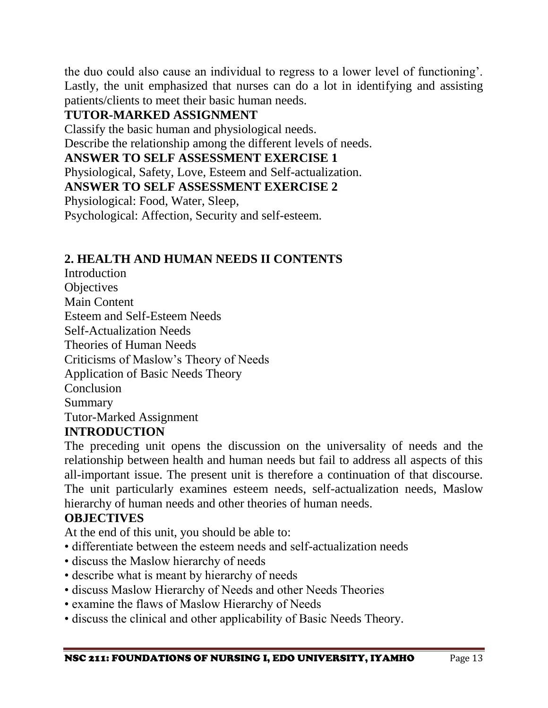the duo could also cause an individual to regress to a lower level of functioning'. Lastly, the unit emphasized that nurses can do a lot in identifying and assisting patients/clients to meet their basic human needs.

# **TUTOR-MARKED ASSIGNMENT**

Classify the basic human and physiological needs.

Describe the relationship among the different levels of needs.

## **ANSWER TO SELF ASSESSMENT EXERCISE 1**

Physiological, Safety, Love, Esteem and Self-actualization.

**ANSWER TO SELF ASSESSMENT EXERCISE 2** 

Physiological: Food, Water, Sleep,

Psychological: Affection, Security and self-esteem.

## **2. HEALTH AND HUMAN NEEDS II CONTENTS**

Introduction **Objectives** Main Content Esteem and Self-Esteem Needs Self-Actualization Needs Theories of Human Needs Criticisms of Maslow's Theory of Needs Application of Basic Needs Theory Conclusion Summary Tutor-Marked Assignment

# **INTRODUCTION**

The preceding unit opens the discussion on the universality of needs and the relationship between health and human needs but fail to address all aspects of this all-important issue. The present unit is therefore a continuation of that discourse. The unit particularly examines esteem needs, self-actualization needs, Maslow hierarchy of human needs and other theories of human needs.

### **OBJECTIVES**

At the end of this unit, you should be able to:

- differentiate between the esteem needs and self-actualization needs
- discuss the Maslow hierarchy of needs
- describe what is meant by hierarchy of needs
- discuss Maslow Hierarchy of Needs and other Needs Theories
- examine the flaws of Maslow Hierarchy of Needs
- discuss the clinical and other applicability of Basic Needs Theory.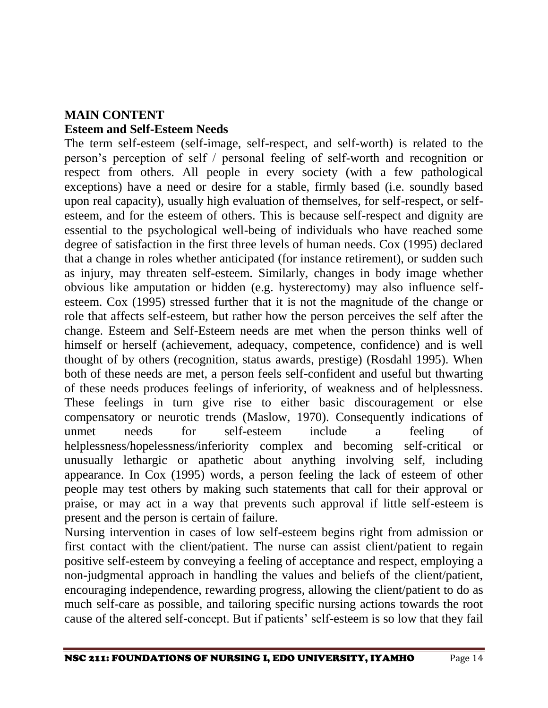# **MAIN CONTENT Esteem and Self-Esteem Needs**

The term self-esteem (self-image, self-respect, and self-worth) is related to the person's perception of self / personal feeling of self-worth and recognition or respect from others. All people in every society (with a few pathological exceptions) have a need or desire for a stable, firmly based (i.e. soundly based upon real capacity), usually high evaluation of themselves, for self-respect, or selfesteem, and for the esteem of others. This is because self-respect and dignity are essential to the psychological well-being of individuals who have reached some degree of satisfaction in the first three levels of human needs. Cox (1995) declared that a change in roles whether anticipated (for instance retirement), or sudden such as injury, may threaten self-esteem. Similarly, changes in body image whether obvious like amputation or hidden (e.g. hysterectomy) may also influence selfesteem. Cox (1995) stressed further that it is not the magnitude of the change or role that affects self-esteem, but rather how the person perceives the self after the change. Esteem and Self-Esteem needs are met when the person thinks well of himself or herself (achievement, adequacy, competence, confidence) and is well thought of by others (recognition, status awards, prestige) (Rosdahl 1995). When both of these needs are met, a person feels self-confident and useful but thwarting of these needs produces feelings of inferiority, of weakness and of helplessness. These feelings in turn give rise to either basic discouragement or else compensatory or neurotic trends (Maslow, 1970). Consequently indications of unmet needs for self-esteem include a feeling of helplessness/hopelessness/inferiority complex and becoming self-critical or unusually lethargic or apathetic about anything involving self, including appearance. In Cox (1995) words, a person feeling the lack of esteem of other people may test others by making such statements that call for their approval or praise, or may act in a way that prevents such approval if little self-esteem is present and the person is certain of failure.

Nursing intervention in cases of low self-esteem begins right from admission or first contact with the client/patient. The nurse can assist client/patient to regain positive self-esteem by conveying a feeling of acceptance and respect, employing a non-judgmental approach in handling the values and beliefs of the client/patient, encouraging independence, rewarding progress, allowing the client/patient to do as much self-care as possible, and tailoring specific nursing actions towards the root cause of the altered self-concept. But if patients' self-esteem is so low that they fail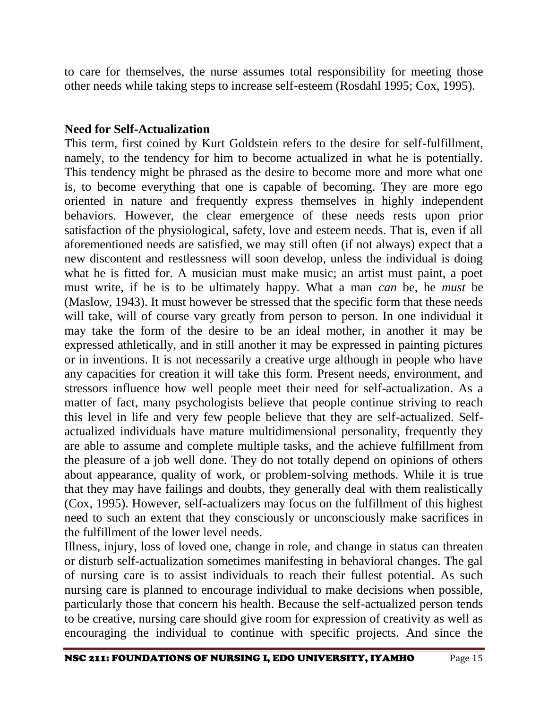to care for themselves, the nurse assumes total responsibility for meeting those other needs while taking steps to increase self-esteem (Rosdahl 1995; Cox, 1995).

#### **Need for Self-Actualization**

This term, first coined by Kurt Goldstein refers to the desire for self-fulfillment, namely, to the tendency for him to become actualized in what he is potentially. This tendency might be phrased as the desire to become more and more what one is, to become everything that one is capable of becoming. They are more ego oriented in nature and frequently express themselves in highly independent behaviors. However, the clear emergence of these needs rests upon prior satisfaction of the physiological, safety, love and esteem needs. That is, even if all aforementioned needs are satisfied, we may still often (if not always) expect that a new discontent and restlessness will soon develop, unless the individual is doing what he is fitted for. A musician must make music; an artist must paint, a poet must write, if he is to be ultimately happy. What a man *can* be, he *must* be (Maslow, 1943). It must however be stressed that the specific form that these needs will take, will of course vary greatly from person to person. In one individual it may take the form of the desire to be an ideal mother, in another it may be expressed athletically, and in still another it may be expressed in painting pictures or in inventions. It is not necessarily a creative urge although in people who have any capacities for creation it will take this form. Present needs, environment, and stressors influence how well people meet their need for self-actualization. As a matter of fact, many psychologists believe that people continue striving to reach this level in life and very few people believe that they are self-actualized. Selfactualized individuals have mature multidimensional personality, frequently they are able to assume and complete multiple tasks, and the achieve fulfillment from the pleasure of a job well done. They do not totally depend on opinions of others about appearance, quality of work, or problem-solving methods. While it is true that they may have failings and doubts, they generally deal with them realistically (Cox, 1995). However, self-actualizers may focus on the fulfillment of this highest need to such an extent that they consciously or unconsciously make sacrifices in the fulfillment of the lower level needs.

Illness, injury, loss of loved one, change in role, and change in status can threaten or disturb self-actualization sometimes manifesting in behavioral changes. The gal of nursing care is to assist individuals to reach their fullest potential. As such nursing care is planned to encourage individual to make decisions when possible, particularly those that concern his health. Because the self-actualized person tends to be creative, nursing care should give room for expression of creativity as well as encouraging the individual to continue with specific projects. And since the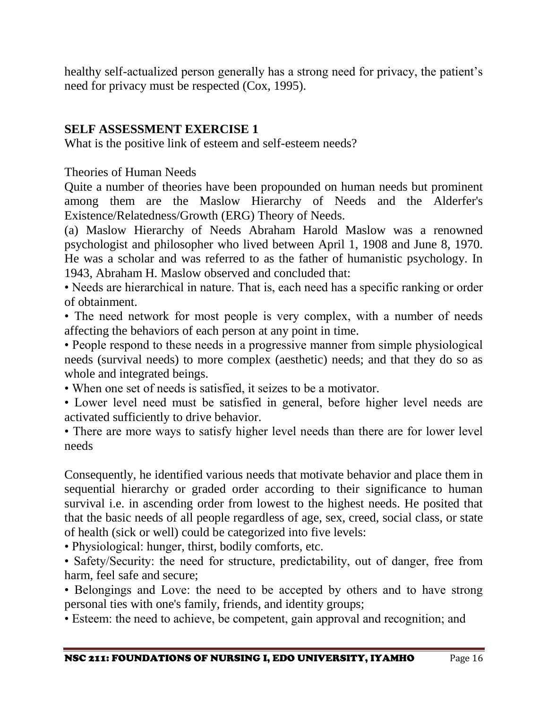healthy self-actualized person generally has a strong need for privacy, the patient's need for privacy must be respected (Cox, 1995).

# **SELF ASSESSMENT EXERCISE 1**

What is the positive link of esteem and self-esteem needs?

Theories of Human Needs

Quite a number of theories have been propounded on human needs but prominent among them are the Maslow Hierarchy of Needs and the Alderfer's Existence/Relatedness/Growth (ERG) Theory of Needs.

(a) Maslow Hierarchy of Needs Abraham Harold Maslow was a renowned psychologist and philosopher who lived between April 1, 1908 and June 8, 1970. He was a scholar and was referred to as the father of humanistic psychology. In 1943, Abraham H. Maslow observed and concluded that:

• Needs are hierarchical in nature. That is, each need has a specific ranking or order of obtainment.

• The need network for most people is very complex, with a number of needs affecting the behaviors of each person at any point in time.

• People respond to these needs in a progressive manner from simple physiological needs (survival needs) to more complex (aesthetic) needs; and that they do so as whole and integrated beings.

• When one set of needs is satisfied, it seizes to be a motivator.

• Lower level need must be satisfied in general, before higher level needs are activated sufficiently to drive behavior.

• There are more ways to satisfy higher level needs than there are for lower level needs

Consequently, he identified various needs that motivate behavior and place them in sequential hierarchy or graded order according to their significance to human survival i.e. in ascending order from lowest to the highest needs. He posited that that the basic needs of all people regardless of age, sex, creed, social class, or state of health (sick or well) could be categorized into five levels:

• Physiological: hunger, thirst, bodily comforts, etc.

• Safety/Security: the need for structure, predictability, out of danger, free from harm, feel safe and secure;

• Belongings and Love: the need to be accepted by others and to have strong personal ties with one's family, friends, and identity groups;

• Esteem: the need to achieve, be competent, gain approval and recognition; and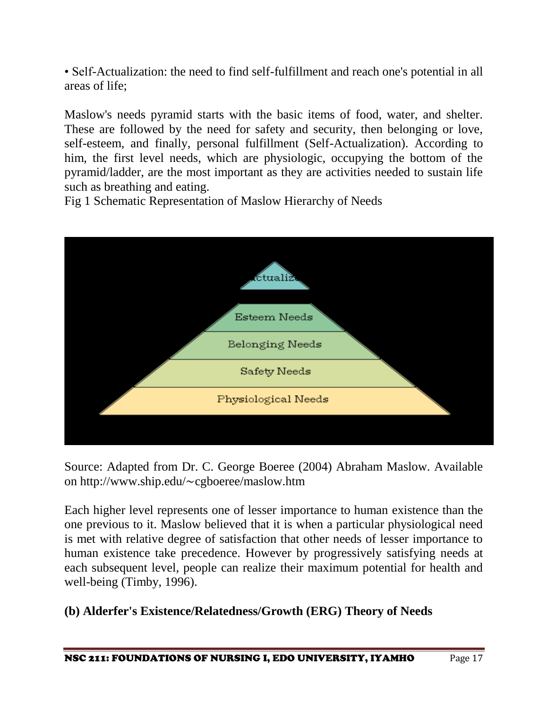• Self-Actualization: the need to find self-fulfillment and reach one's potential in all areas of life;

Maslow's needs pyramid starts with the basic items of food, water, and shelter. These are followed by the need for safety and security, then belonging or love, self-esteem, and finally, personal fulfillment (Self-Actualization). According to him, the first level needs, which are physiologic, occupying the bottom of the pyramid/ladder, are the most important as they are activities needed to sustain life such as breathing and eating.

Fig 1 Schematic Representation of Maslow Hierarchy of Needs



Source: Adapted from Dr. C. George Boeree (2004) Abraham Maslow. Available on http://www.ship.edu/∼cgboeree/maslow.htm

Each higher level represents one of lesser importance to human existence than the one previous to it. Maslow believed that it is when a particular physiological need is met with relative degree of satisfaction that other needs of lesser importance to human existence take precedence. However by progressively satisfying needs at each subsequent level, people can realize their maximum potential for health and well-being (Timby, 1996).

# **(b) Alderfer's Existence/Relatedness/Growth (ERG) Theory of Needs**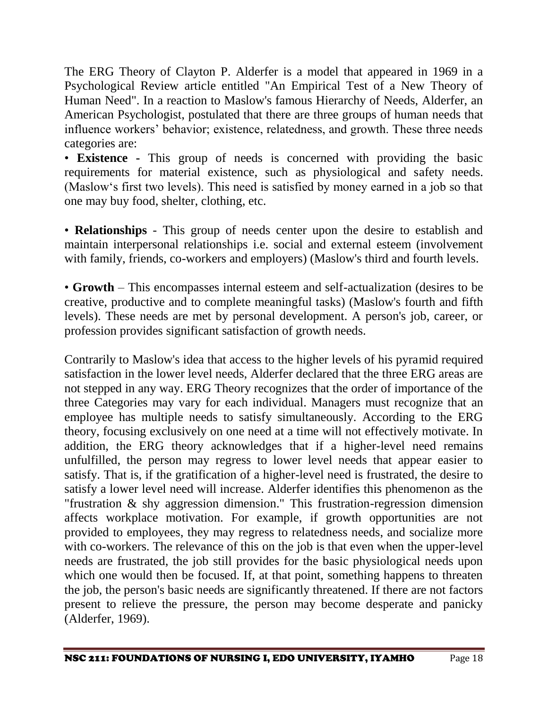The ERG Theory of Clayton P. Alderfer is a model that appeared in 1969 in a Psychological Review article entitled "An Empirical Test of a New Theory of Human Need". In a reaction to Maslow's famous Hierarchy of Needs, Alderfer, an American Psychologist, postulated that there are three groups of human needs that influence workers' behavior; existence, relatedness, and growth. These three needs categories are:

• **Existence -** This group of needs is concerned with providing the basic requirements for material existence, such as physiological and safety needs. (Maslow's first two levels). This need is satisfied by money earned in a job so that one may buy food, shelter, clothing, etc.

• **Relationships** - This group of needs center upon the desire to establish and maintain interpersonal relationships i.e. social and external esteem (involvement with family, friends, co-workers and employers) (Maslow's third and fourth levels.

• **Growth** – This encompasses internal esteem and self-actualization (desires to be creative, productive and to complete meaningful tasks) (Maslow's fourth and fifth levels). These needs are met by personal development. A person's job, career, or profession provides significant satisfaction of growth needs.

Contrarily to Maslow's idea that access to the higher levels of his pyramid required satisfaction in the lower level needs, Alderfer declared that the three ERG areas are not stepped in any way. ERG Theory recognizes that the order of importance of the three Categories may vary for each individual. Managers must recognize that an employee has multiple needs to satisfy simultaneously. According to the ERG theory, focusing exclusively on one need at a time will not effectively motivate. In addition, the ERG theory acknowledges that if a higher-level need remains unfulfilled, the person may regress to lower level needs that appear easier to satisfy. That is, if the gratification of a higher-level need is frustrated, the desire to satisfy a lower level need will increase. Alderfer identifies this phenomenon as the "frustration & shy aggression dimension." This frustration-regression dimension affects workplace motivation. For example, if growth opportunities are not provided to employees, they may regress to relatedness needs, and socialize more with co-workers. The relevance of this on the job is that even when the upper-level needs are frustrated, the job still provides for the basic physiological needs upon which one would then be focused. If, at that point, something happens to threaten the job, the person's basic needs are significantly threatened. If there are not factors present to relieve the pressure, the person may become desperate and panicky (Alderfer, 1969).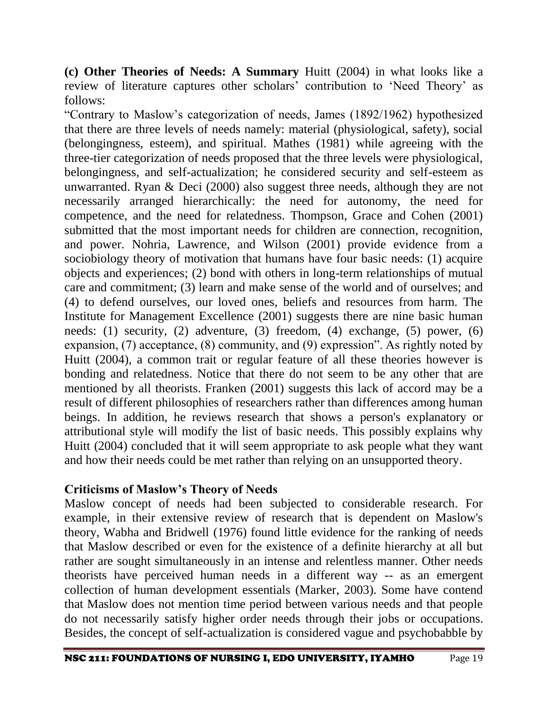**(c) Other Theories of Needs: A Summary** Huitt (2004) in what looks like a review of literature captures other scholars' contribution to 'Need Theory' as follows:

"Contrary to Maslow's categorization of needs, James (1892/1962) hypothesized that there are three levels of needs namely: material (physiological, safety), social (belongingness, esteem), and spiritual. Mathes (1981) while agreeing with the three-tier categorization of needs proposed that the three levels were physiological, belongingness, and self-actualization; he considered security and self-esteem as unwarranted. Ryan & Deci (2000) also suggest three needs, although they are not necessarily arranged hierarchically: the need for autonomy, the need for competence, and the need for relatedness. Thompson, Grace and Cohen (2001) submitted that the most important needs for children are connection, recognition, and power. Nohria, Lawrence, and Wilson (2001) provide evidence from a sociobiology theory of motivation that humans have four basic needs: (1) acquire objects and experiences; (2) bond with others in long-term relationships of mutual care and commitment; (3) learn and make sense of the world and of ourselves; and (4) to defend ourselves, our loved ones, beliefs and resources from harm. The Institute for Management Excellence (2001) suggests there are nine basic human needs: (1) security, (2) adventure, (3) freedom, (4) exchange, (5) power, (6) expansion, (7) acceptance, (8) community, and (9) expression". As rightly noted by Huitt (2004), a common trait or regular feature of all these theories however is bonding and relatedness. Notice that there do not seem to be any other that are mentioned by all theorists. Franken (2001) suggests this lack of accord may be a result of different philosophies of researchers rather than differences among human beings. In addition, he reviews research that shows a person's explanatory or attributional style will modify the list of basic needs. This possibly explains why Huitt (2004) concluded that it will seem appropriate to ask people what they want and how their needs could be met rather than relying on an unsupported theory.

### **Criticisms of Maslow's Theory of Needs**

Maslow concept of needs had been subjected to considerable research. For example, in their extensive review of research that is dependent on Maslow's theory, Wabha and Bridwell (1976) found little evidence for the ranking of needs that Maslow described or even for the existence of a definite hierarchy at all but rather are sought simultaneously in an intense and relentless manner. Other needs theorists have perceived human needs in a different way -- as an emergent collection of human development essentials (Marker, 2003). Some have contend that Maslow does not mention time period between various needs and that people do not necessarily satisfy higher order needs through their jobs or occupations. Besides, the concept of self-actualization is considered vague and psychobabble by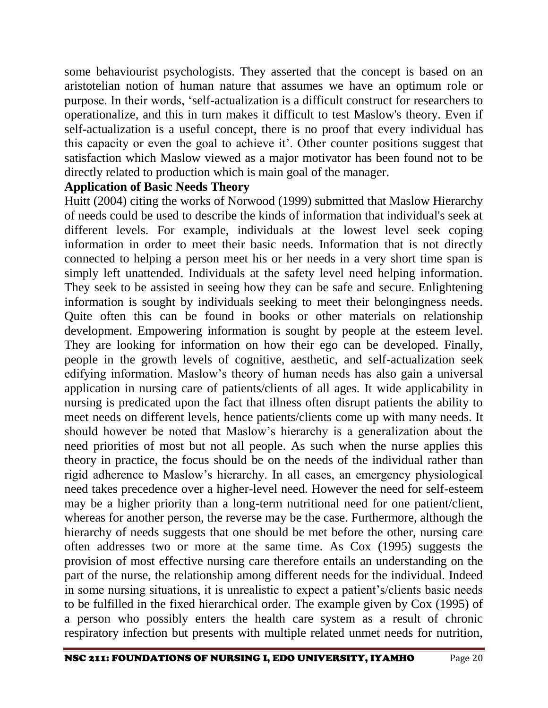some behaviourist psychologists. They asserted that the concept is based on an aristotelian notion of human nature that assumes we have an optimum role or purpose. In their words, 'self-actualization is a difficult construct for researchers to operationalize, and this in turn makes it difficult to test Maslow's theory. Even if self-actualization is a useful concept, there is no proof that every individual has this capacity or even the goal to achieve it'. Other counter positions suggest that satisfaction which Maslow viewed as a major motivator has been found not to be directly related to production which is main goal of the manager.

#### **Application of Basic Needs Theory**

Huitt (2004) citing the works of Norwood (1999) submitted that Maslow Hierarchy of needs could be used to describe the kinds of information that individual's seek at different levels. For example, individuals at the lowest level seek coping information in order to meet their basic needs. Information that is not directly connected to helping a person meet his or her needs in a very short time span is simply left unattended. Individuals at the safety level need helping information. They seek to be assisted in seeing how they can be safe and secure. Enlightening information is sought by individuals seeking to meet their belongingness needs. Quite often this can be found in books or other materials on relationship development. Empowering information is sought by people at the esteem level. They are looking for information on how their ego can be developed. Finally, people in the growth levels of cognitive, aesthetic, and self-actualization seek edifying information. Maslow's theory of human needs has also gain a universal application in nursing care of patients/clients of all ages. It wide applicability in nursing is predicated upon the fact that illness often disrupt patients the ability to meet needs on different levels, hence patients/clients come up with many needs. It should however be noted that Maslow's hierarchy is a generalization about the need priorities of most but not all people. As such when the nurse applies this theory in practice, the focus should be on the needs of the individual rather than rigid adherence to Maslow's hierarchy. In all cases, an emergency physiological need takes precedence over a higher-level need. However the need for self-esteem may be a higher priority than a long-term nutritional need for one patient/client, whereas for another person, the reverse may be the case. Furthermore, although the hierarchy of needs suggests that one should be met before the other, nursing care often addresses two or more at the same time. As Cox (1995) suggests the provision of most effective nursing care therefore entails an understanding on the part of the nurse, the relationship among different needs for the individual. Indeed in some nursing situations, it is unrealistic to expect a patient's/clients basic needs to be fulfilled in the fixed hierarchical order. The example given by Cox (1995) of a person who possibly enters the health care system as a result of chronic respiratory infection but presents with multiple related unmet needs for nutrition,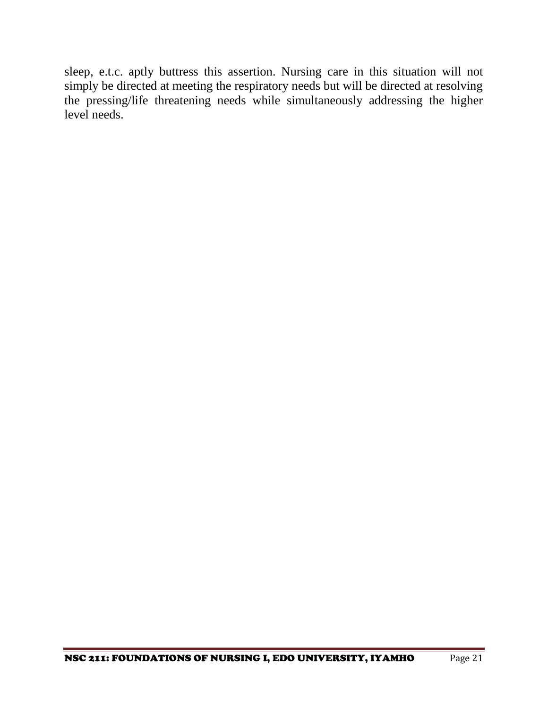sleep, e.t.c. aptly buttress this assertion. Nursing care in this situation will not simply be directed at meeting the respiratory needs but will be directed at resolving the pressing/life threatening needs while simultaneously addressing the higher level needs.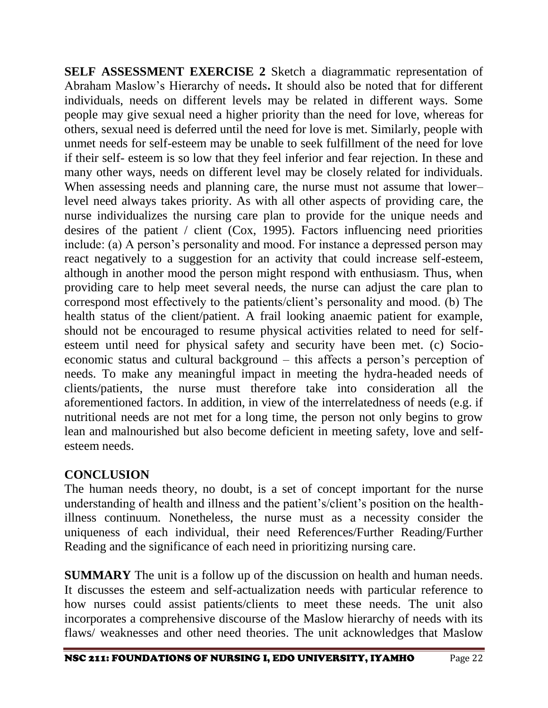**SELF ASSESSMENT EXERCISE 2** Sketch a diagrammatic representation of Abraham Maslow's Hierarchy of needs**.** It should also be noted that for different individuals, needs on different levels may be related in different ways. Some people may give sexual need a higher priority than the need for love, whereas for others, sexual need is deferred until the need for love is met. Similarly, people with unmet needs for self-esteem may be unable to seek fulfillment of the need for love if their self- esteem is so low that they feel inferior and fear rejection. In these and many other ways, needs on different level may be closely related for individuals. When assessing needs and planning care, the nurse must not assume that lower– level need always takes priority. As with all other aspects of providing care, the nurse individualizes the nursing care plan to provide for the unique needs and desires of the patient / client (Cox, 1995). Factors influencing need priorities include: (a) A person's personality and mood. For instance a depressed person may react negatively to a suggestion for an activity that could increase self-esteem, although in another mood the person might respond with enthusiasm. Thus, when providing care to help meet several needs, the nurse can adjust the care plan to correspond most effectively to the patients/client's personality and mood. (b) The health status of the client/patient. A frail looking anaemic patient for example, should not be encouraged to resume physical activities related to need for selfesteem until need for physical safety and security have been met. (c) Socioeconomic status and cultural background – this affects a person's perception of needs. To make any meaningful impact in meeting the hydra-headed needs of clients/patients, the nurse must therefore take into consideration all the aforementioned factors. In addition, in view of the interrelatedness of needs (e.g. if nutritional needs are not met for a long time, the person not only begins to grow lean and malnourished but also become deficient in meeting safety, love and selfesteem needs.

### **CONCLUSION**

The human needs theory, no doubt, is a set of concept important for the nurse understanding of health and illness and the patient's/client's position on the healthillness continuum. Nonetheless, the nurse must as a necessity consider the uniqueness of each individual, their need References/Further Reading/Further Reading and the significance of each need in prioritizing nursing care.

**SUMMARY** The unit is a follow up of the discussion on health and human needs. It discusses the esteem and self-actualization needs with particular reference to how nurses could assist patients/clients to meet these needs. The unit also incorporates a comprehensive discourse of the Maslow hierarchy of needs with its flaws/ weaknesses and other need theories. The unit acknowledges that Maslow